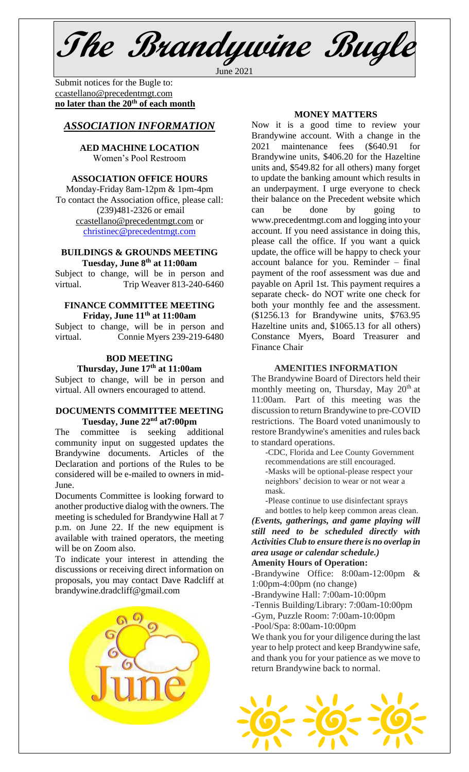**The Brandywine Bugle** June 2021

Submit notices for the Bugle to: [ccastellano@precedentmgt.com](mailto:johnandbethgrooms@gmail.com) **no later than the 20th of each month**

# *ASSOCIATION INFORMATION*

# **AED MACHINE LOCATION**  Women's Pool Restroom

### **ASSOCIATION OFFICE HOURS**

Monday-Friday 8am-12pm & 1pm-4pm To contact the Association office, please call: (239)481-2326 or email [ccastellano@precedentmgt.com](mailto:ccastellano@precedentmgt.com) or [christinec@precedentmgt.com](mailto:christinec@precedentmgt.com)

## **BUILDINGS & GROUNDS MEETING Tuesday, June 8 th at 11:00am**

Subject to change, will be in person and virtual. Trip Weaver 813-240-6460

## **FINANCE COMMITTEE MEETING Friday, June 11 th at 11:00am**

Subject to change, will be in person and virtual. Connie Myers 239-219-6480

#### **BOD MEETING Thursday, June 17th at 11:00am**

Subject to change, will be in person and virtual. All owners encouraged to attend.

#### **DOCUMENTS COMMITTEE MEETING Tuesday, June 22nd at7:00pm**

The committee is seeking additional community input on suggested updates the Brandywine documents. Articles of the Declaration and portions of the Rules to be considered will be e-mailed to owners in mid-June.

Documents Committee is looking forward to another productive dialog with the owners. The meeting is scheduled for Brandywine Hall at 7 p.m. on June 22. If the new equipment is available with trained operators, the meeting will be on Zoom also.

To indicate your interest in attending the discussions or receiving direct information on proposals, you may contact Dave Radcliff at brandywine.dradcliff@gmail.com



### **MONEY MATTERS**

Now it is a good time to review your Brandywine account. With a change in the 2021 maintenance fees (\$640.91 for Brandywine units, \$406.20 for the Hazeltine units and, \$549.82 for all others) many forget to update the banking amount which results in an underpayment. I urge everyone to check their balance on the Precedent website which can be done by going www.precedentmgt.com and logging into your account. If you need assistance in doing this, please call the office. If you want a quick update, the office will be happy to check your account balance for you. Reminder – final payment of the roof assessment was due and payable on April 1st. This payment requires a separate check- do NOT write one check for both your monthly fee and the assessment. (\$1256.13 for Brandywine units, \$763.95 Hazeltine units and, \$1065.13 for all others) Constance Myers, Board Treasurer and Finance Chair

### **AMENITIES INFORMATION**

The Brandywine Board of Directors held their monthly meeting on, Thursday, May 20<sup>th</sup> at 11:00am. Part of this meeting was the discussion to return Brandywine to pre-COVID restrictions. The Board voted unanimously to restore Brandywine's amenities and rules back to standard operations.

-CDC, Florida and Lee County Government recommendations are still encouraged. -Masks will be optional-please respect your neighbors' decision to wear or not wear a mask.

-Please continue to use disinfectant sprays and bottles to help keep common areas clean.

*(Events, gatherings, and game playing will still need to be scheduled directly with Activities Club to ensure there is no overlap in area usage or calendar schedule.)*

# **Amenity Hours of Operation:**

-Brandywine Office: 8:00am-12:00pm & 1:00pm-4:00pm (no change)

-Brandywine Hall: 7:00am-10:00pm

-Tennis Building/Library: 7:00am-10:00pm

-Gym, Puzzle Room: 7:00am-10:00pm -Pool/Spa: 8:00am-10:00pm

We thank you for your diligence during the last year to help protect and keep Brandywine safe, and thank you for your patience as we move to return Brandywine back to normal.

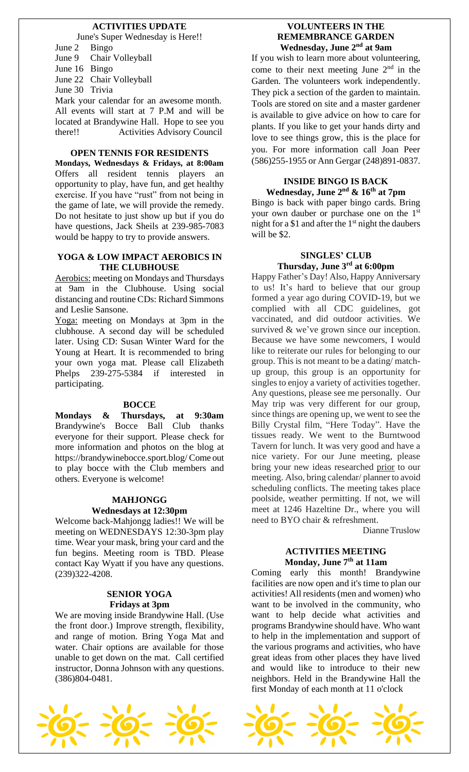# **ACTIVITIES UPDATE**

June's Super Wednesday is Here!! June 2 Bingo June 9 Chair Volleyball

June 16 Bingo

June 22 Chair Volleyball

June 30 Trivia

Mark your calendar for an awesome month. All events will start at 7 P.M and will be located at Brandywine Hall. Hope to see you there!! Activities Advisory Council

## **OPEN TENNIS FOR RESIDENTS**

**Mondays, Wednesdays & Fridays, at 8:00am** Offers all resident tennis players an opportunity to play, have fun, and get healthy exercise. If you have "rust" from not being in the game of late, we will provide the remedy. Do not hesitate to just show up but if you do have questions, Jack Sheils at 239-985-7083 would be happy to try to provide answers.

#### **YOGA & LOW IMPACT AEROBICS IN THE CLUBHOUSE**

Aerobics: meeting on Mondays and Thursdays at 9am in the Clubhouse. Using social distancing and routine CDs: Richard Simmons and Leslie Sansone.

Yoga: meeting on Mondays at 3pm in the clubhouse. A second day will be scheduled later. Using CD: Susan Winter Ward for the Young at Heart. It is recommended to bring your own yoga mat. Please call Elizabeth Phelps 239-275-5384 if interested in participating.

# **BOCCE**

**Mondays & Thursdays, at 9:30am** Brandywine's Bocce Ball Club thanks everyone for their support. Please check for more information and photos on the blog at https://brandywinebocce.sport.blog/ Come out to play bocce with the Club members and others. Everyone is welcome!

# **MAHJONGG**

### **Wednesdays at 12:30pm**

Welcome back-Mahjongg ladies!! We will be meeting on WEDNESDAYS 12:30-3pm play time. Wear your mask, bring your card and the fun begins. Meeting room is TBD. Please contact Kay Wyatt if you have any questions. (239)322-4208.

#### **SENIOR YOGA Fridays at 3pm**

We are moving inside Brandywine Hall. (Use the front door.) Improve strength, flexibility, and range of motion. Bring Yoga Mat and water. Chair options are available for those unable to get down on the mat. Call certified instructor, Donna Johnson with any questions. (386)804-0481.

# **VOLUNTEERS IN THE REMEMBRANCE GARDEN Wednesday, June 2nd at 9am**

If you wish to learn more about volunteering, come to their next meeting June  $2<sup>nd</sup>$  in the Garden. The volunteers work independently. They pick a section of the garden to maintain. Tools are stored on site and a master gardener is available to give advice on how to care for plants. If you like to get your hands dirty and love to see things grow, this is the place for you. For more information call Joan Peer (586)255-1955 or Ann Gergar (248)891-0837.

# **INSIDE BINGO IS BACK**

**Wednesday, June 2 nd & 16th at 7pm** Bingo is back with paper bingo cards. Bring your own dauber or purchase one on the 1<sup>st</sup> night for a \$1 and after the  $1<sup>st</sup>$  night the daubers will be \$2.

# **SINGLES' CLUB Thursday, June 3 rd at 6:00pm**

Happy Father's Day! Also, Happy Anniversary to us! It's hard to believe that our group formed a year ago during COVID-19, but we complied with all CDC guidelines, got vaccinated, and did outdoor activities. We survived & we've grown since our inception. Because we have some newcomers, I would like to reiterate our rules for belonging to our group. This is not meant to be a dating/ matchup group, this group is an opportunity for singles to enjoy a variety of activities together. Any questions, please see me personally. Our May trip was very different for our group, since things are opening up, we went to see the Billy Crystal film, "Here Today". Have the tissues ready. We went to the Burntwood Tavern for lunch. It was very good and have a nice variety. For our June meeting, please bring your new ideas researched prior to our meeting. Also, bring calendar/ planner to avoid scheduling conflicts. The meeting takes place poolside, weather permitting. If not, we will meet at 1246 Hazeltine Dr., where you will need to BYO chair & refreshment.

Dianne Truslow

### **ACTIVITIES MEETING Monday, June 7th at 11am**

Coming early this month! Brandywine facilities are now open and it's time to plan our activities! All residents(men and women) who want to be involved in the community, who want to help decide what activities and programs Brandywine should have. Who want to help in the implementation and support of the various programs and activities, who have great ideas from other places they have lived and would like to introduce to their new neighbors. Held in the Brandywine Hall the first Monday of each month at 11 o'clock

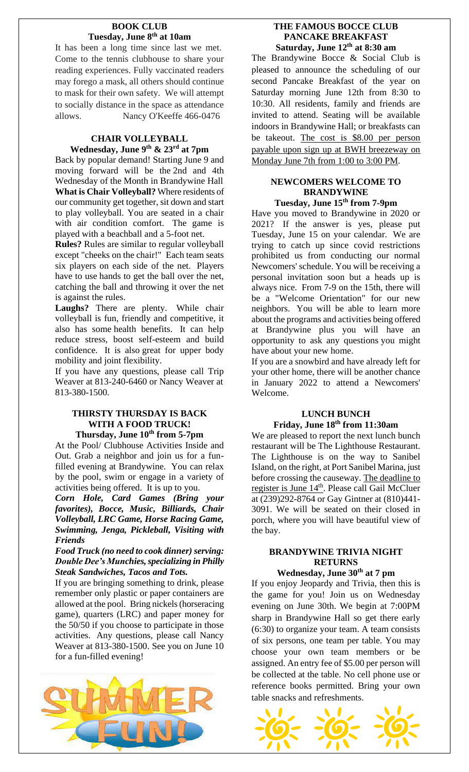# **BOOK CLUB Tuesday, June 8 th at 10am**

It has been a long time since last we met. Come to the tennis clubhouse to share your reading experiences. Fully vaccinated readers may forego a mask, all others should continue to mask for their own safety. We will attempt to socially distance in the space as attendance allows. Nancy O'Keeffe 466-0476

# **CHAIR VOLLEYBALL Wednesday, June 9 th & 23rd at 7pm**

Back by popular demand! Starting June 9 and moving forward will be the 2nd and 4th Wednesday of the Month in Brandywine Hall **What is Chair Volleyball?** Where residents of our community get together, sit down and start to play volleyball. You are seated in a chair with air condition comfort. The game is played with a beachball and a 5-foot net.

**Rules?** Rules are similar to regular volleyball except "cheeks on the chair!" Each team seats six players on each side of the net. Players have to use hands to get the ball over the net, catching the ball and throwing it over the net is against the rules.

**Laughs?** There are plenty. While chair volleyball is fun, friendly and competitive, it also has some health benefits. It can help reduce stress, boost self-esteem and build confidence. It is also great for upper body mobility and joint flexibility.

If you have any questions, please call Trip Weaver at 813-240-6460 or Nancy Weaver at 813-380-1500.

# **THIRSTY THURSDAY IS BACK WITH A FOOD TRUCK! Thursday, June 10th from 5-7pm**

At the Pool/ Clubhouse Activities Inside and Out. Grab a neighbor and join us for a funfilled evening at Brandywine. You can relax by the pool, swim or engage in a variety of activities being offered. It is up to you.

*Corn Hole, Card Games (Bring your favorites), Bocce, Music, Billiards, Chair Volleyball, LRC Game, Horse Racing Game, Swimming, Jenga, Pickleball, Visiting with Friends*

*Food Truck (no need to cook dinner) serving: Double Dee's Munchies, specializing in Philly Steak Sandwiches, Tacos and Tots.* 

If you are bringing something to drink, please remember only plastic or paper containers are allowed at the pool. Bring nickels (horseracing game), quarters (LRC) and paper money for the 50/50 if you choose to participate in those activities. Any questions, please call Nancy Weaver at 813-380-1500. See you on June 10 for a fun-filled evening!



# **THE FAMOUS BOCCE CLUB PANCAKE BREAKFAST Saturday, June 12th at 8:30 am**

The Brandywine Bocce & Social Club is pleased to announce the scheduling of our second Pancake Breakfast of the year on Saturday morning June 12th from 8:30 to 10:30. All residents, family and friends are invited to attend. Seating will be available indoors in Brandywine Hall; or breakfasts can be takeout. The cost is \$8.00 per person payable upon sign up at BWH breezeway on Monday June 7th from 1:00 to 3:00 PM.

# **NEWCOMERS WELCOME TO BRANDYWINE**

# **Tuesday, June 15th from 7-9pm**

Have you moved to Brandywine in 2020 or 2021? If the answer is yes, please put Tuesday, June 15 on your calendar. We are trying to catch up since covid restrictions prohibited us from conducting our normal Newcomers' schedule. You will be receiving a personal invitation soon but a heads up is always nice. From 7-9 on the 15th, there will be a "Welcome Orientation" for our new neighbors. You will be able to learn more about the programs and activities being offered at Brandywine plus you will have an opportunity to ask any questions you might have about your new home.

If you are a snowbird and have already left for your other home, there will be another chance in January 2022 to attend a Newcomers' Welcome.

# **LUNCH BUNCH Friday, June 18 th from 11:30am**

We are pleased to report the next lunch bunch restaurant will be The Lighthouse Restaurant. The Lighthouse is on the way to Sanibel Island, on the right, at Port Sanibel Marina, just before crossing the causeway. The deadline to register is June 14<sup>th</sup>. Please call Gail McCluer at (239)292-8764 or Gay Gintner at (810)441- 3091. We will be seated on their closed in porch, where you will have beautiful view of the bay.

# **BRANDYWINE TRIVIA NIGHT RETURNS**

# **Wednesday, June 30th at 7 pm**

If you enjoy Jeopardy and Trivia, then this is the game for you! Join us on Wednesday evening on June 30th. We begin at 7:00PM sharp in Brandywine Hall so get there early (6:30) to organize your team. A team consists of six persons, one team per table. You may choose your own team members or be assigned. An entry fee of \$5.00 per person will be collected at the table. No cell phone use or reference books permitted. Bring your own table snacks and refreshments.

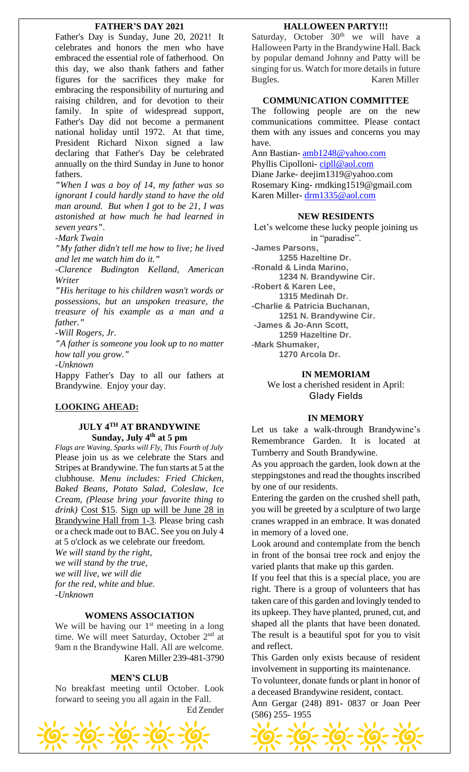### **FATHER'S DAY 2021**

Father's Day is Sunday, June 20, 2021! It celebrates and honors the men who have embraced the essential role of fatherhood. On this day, we also thank fathers and father figures for the sacrifices they make for embracing the responsibility of nurturing and raising children, and for devotion to their family. In spite of widespread support, Father's Day did not become a permanent national holiday until 1972. At that time, President Richard Nixon signed a law declaring that Father's Day be celebrated annually on the third Sunday in June to honor fathers.

*"When I was a boy of 14, my father was so ignorant I could hardly stand to have the old man around. But when I got to be 21, I was astonished at how much he had learned in seven years".*

*-Mark Twain*

*"My father didn't tell me how to live; he lived and let me watch him do it."*

*-Clarence Budington Kelland, American Writer*

*"His heritage to his children wasn't words or possessions, but an unspoken treasure, the treasure of his example as a man and a father."*

*-Will Rogers, Jr.*

*"A father is someone you look up to no matter how tall you grow."*

*-Unknown*

Happy Father's Day to all our fathers at Brandywine. Enjoy your day.

# **LOOKING AHEAD:**

# **JULY 4TH AT BRANDYWINE Sunday, July 4 th at 5 pm**

*Flags are Waving, Sparks will Fly, This Fourth of July* Please join us as we celebrate the Stars and Stripes at Brandywine. The fun starts at 5 at the clubhouse. *Menu includes: Fried Chicken, Baked Beans, Potato Salad, Coleslaw, Ice Cream, (Please bring your favorite thing to drink)* Cost \$15. Sign up will be June 28 in Brandywine Hall from 1-3. Please bring cash or a check made out to BAC. See you on July 4 at 5 o'clock as we celebrate our freedom.

*We will stand by the right, we will stand by the true, we will live, we will die for the red, white and blue. -Unknown*

### **WOMENS ASSOCIATION**

We will be having our  $1<sup>st</sup>$  meeting in a long time. We will meet Saturday, October 2<sup>nd</sup> at 9am n the Brandywine Hall. All are welcome. Karen Miller 239-481-3790

#### **MEN'S CLUB**

No breakfast meeting until October. Look forward to seeing you all again in the Fall. Ed Zender



#### **HALLOWEEN PARTY!!!**

Saturday, October  $30<sup>th</sup>$  we will have a Halloween Party in the Brandywine Hall. Back by popular demand Johnny and Patty will be singing for us. Watch for more details in future Bugles. Karen Miller

### **COMMUNICATION COMMITTEE**

The following people are on the new communications committee. Please contact them with any issues and concerns you may have.

Ann Bastian- [amb1248@yahoo.com](mailto:amb1248@yahoo.com) Phyllis Cipolloni-[cipll@aol.com](mailto:cipll@aol.com) Diane Jarke- deejim1319@yahoo.com Rosemary King- rmdking1519@gmail.com Karen Miller- [drm1335@aol.com](mailto:drm1335@aol.com)

# **NEW RESIDENTS**

Let's welcome these lucky people joining us in "paradise". **-James Parsons,**

**1255 Hazeltine Dr. -Ronald & Linda Marino, 1234 N. Brandywine Cir. -Robert & Karen Lee, 1315 Medinah Dr. -Charlie & Patricia Buchanan, 1251 N. Brandywine Cir. -James & Jo-Ann Scott, 1259 Hazeltine Dr. -Mark Shumaker, 1270 Arcola Dr.**

#### **IN MEMORIAM**

We lost a cherished resident in April: Glady Fields

#### **IN MEMORY**

Let us take a walk-through Brandywine's Remembrance Garden. It is located at Turnberry and South Brandywine.

As you approach the garden, look down at the steppingstones and read the thoughts inscribed by one of our residents.

Entering the garden on the crushed shell path, you will be greeted by a sculpture of two large cranes wrapped in an embrace. It was donated in memory of a loved one.

Look around and contemplate from the bench in front of the bonsai tree rock and enjoy the varied plants that make up this garden.

If you feel that this is a special place, you are right. There is a group of volunteers that has taken care of this garden and lovingly tended to its upkeep. They have planted, pruned, cut, and shaped all the plants that have been donated. The result is a beautiful spot for you to visit and reflect.

This Garden only exists because of resident involvement in supporting its maintenance.

To volunteer, donate funds or plant in honor of a deceased Brandywine resident, contact.

Ann Gergar (248) 891- 0837 or Joan Peer (586) 255- 1955